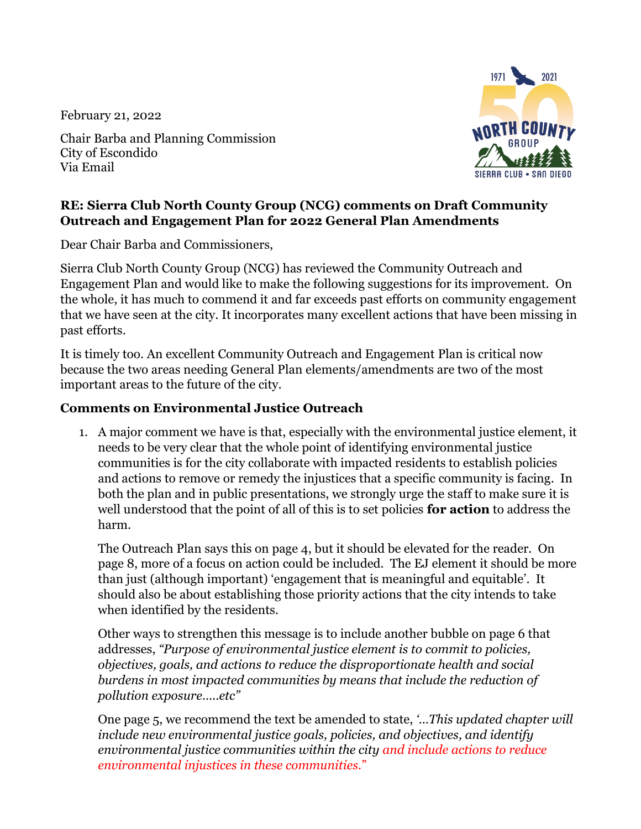February 21, 2022

Chair Barba and Planning Commission City of Escondido Via Email



## **RE: Sierra Club North County Group (NCG) comments on Draft Community Outreach and Engagement Plan for 2022 General Plan Amendments**

Dear Chair Barba and Commissioners,

Sierra Club North County Group (NCG) has reviewed the Community Outreach and Engagement Plan and would like to make the following suggestions for its improvement. On the whole, it has much to commend it and far exceeds past efforts on community engagement that we have seen at the city. It incorporates many excellent actions that have been missing in past efforts.

It is timely too. An excellent Community Outreach and Engagement Plan is critical now because the two areas needing General Plan elements/amendments are two of the most important areas to the future of the city.

## **Comments on Environmental Justice Outreach**

1. A major comment we have is that, especially with the environmental justice element, it needs to be very clear that the whole point of identifying environmental justice communities is for the city collaborate with impacted residents to establish policies and actions to remove or remedy the injustices that a specific community is facing. In both the plan and in public presentations, we strongly urge the staff to make sure it is well understood that the point of all of this is to set policies **for action** to address the harm.

The Outreach Plan says this on page 4, but it should be elevated for the reader. On page 8, more of a focus on action could be included. The EJ element it should be more than just (although important) 'engagement that is meaningful and equitable'. It should also be about establishing those priority actions that the city intends to take when identified by the residents.

Other ways to strengthen this message is to include another bubble on page 6 that addresses, *"Purpose of environmental justice element is to commit to policies, objectives, goals, and actions to reduce the disproportionate health and social burdens in most impacted communities by means that include the reduction of pollution exposure…..etc"*

One page 5, we recommend the text be amended to state, *'…This updated chapter will include new environmental justice goals, policies, and objectives, and identify environmental justice communities within the city and include actions to reduce environmental injustices in these communities.*"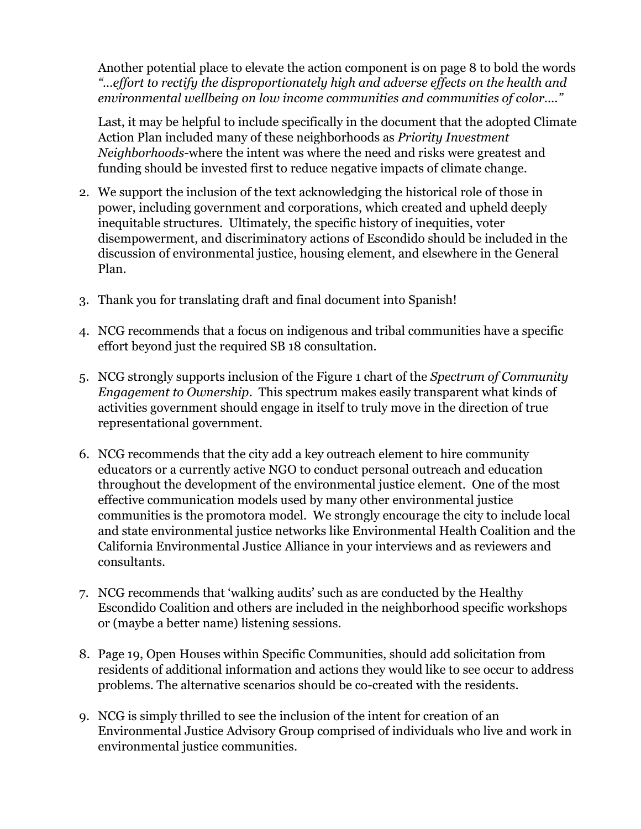Another potential place to elevate the action component is on page 8 to bold the words *"…effort to rectify the disproportionately high and adverse effects on the health and environmental wellbeing on low income communities and communities of color…."*

Last, it may be helpful to include specifically in the document that the adopted Climate Action Plan included many of these neighborhoods as *Priority Investment Neighborhoods*-where the intent was where the need and risks were greatest and funding should be invested first to reduce negative impacts of climate change.

- 2. We support the inclusion of the text acknowledging the historical role of those in power, including government and corporations, which created and upheld deeply inequitable structures. Ultimately, the specific history of inequities, voter disempowerment, and discriminatory actions of Escondido should be included in the discussion of environmental justice, housing element, and elsewhere in the General Plan.
- 3. Thank you for translating draft and final document into Spanish!
- 4. NCG recommends that a focus on indigenous and tribal communities have a specific effort beyond just the required SB 18 consultation.
- 5. NCG strongly supports inclusion of the Figure 1 chart of the *Spectrum of Community Engagement to Ownership*. This spectrum makes easily transparent what kinds of activities government should engage in itself to truly move in the direction of true representational government.
- 6. NCG recommends that the city add a key outreach element to hire community educators or a currently active NGO to conduct personal outreach and education throughout the development of the environmental justice element. One of the most effective communication models used by many other environmental justice communities is the promotora model. We strongly encourage the city to include local and state environmental justice networks like Environmental Health Coalition and the California Environmental Justice Alliance in your interviews and as reviewers and consultants.
- 7. NCG recommends that 'walking audits' such as are conducted by the Healthy Escondido Coalition and others are included in the neighborhood specific workshops or (maybe a better name) listening sessions.
- 8. Page 19, Open Houses within Specific Communities, should add solicitation from residents of additional information and actions they would like to see occur to address problems. The alternative scenarios should be co-created with the residents.
- 9. NCG is simply thrilled to see the inclusion of the intent for creation of an Environmental Justice Advisory Group comprised of individuals who live and work in environmental justice communities.